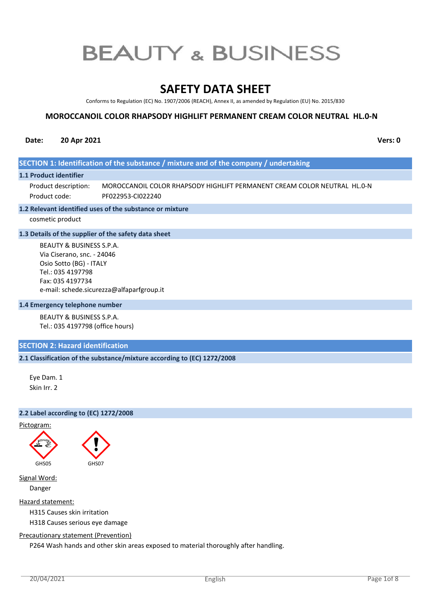# **SAFETY DATA SHEET**

Conforms to Regulation (EC) No. 1907/2006 (REACH), Annex II, as amended by Regulation (EU) No. 2015/830

# **MOROCCANOIL COLOR RHAPSODY HIGHLIFT PERMANENT CREAM COLOR NEUTRAL HL.0-N**

# **Date: 20 Apr 2021 Vers: 0**

# **SECTION 1: Identification of the substance / mixture and of the company / undertaking**

#### **1.1 Product identifier**

MOROCCANOIL COLOR RHAPSODY HIGHLIFT PERMANENT CREAM COLOR NEUTRAL HL.0-N PF022953-CI022240 Product description: Product code:

#### **1.2 Relevant identified uses of the substance or mixture**

cosmetic product

#### **1.3 Details of the supplier of the safety data sheet**

BEAUTY & BUSINESS S.P.A. Via Ciserano, snc. - 24046 Osio Sotto (BG) - ITALY Tel.: 035 4197798 Fax: 035 4197734 e-mail: schede.sicurezza@alfaparfgroup.it

#### **1.4 Emergency telephone number**

BEAUTY & BUSINESS S.P.A. Tel.: 035 4197798 (office hours)

# **SECTION 2: Hazard identification**

# **2.1 Classification of the substance/mixture according to (EC) 1272/2008**

Eye Dam. 1 Skin Irr. 2

# **2.2 Label according to (EC) 1272/2008**





Signal Word:

Danger

Hazard statement:

H315 Causes skin irritation

H318 Causes serious eye damage

#### Precautionary statement (Prevention)

P264 Wash hands and other skin areas exposed to material thoroughly after handling.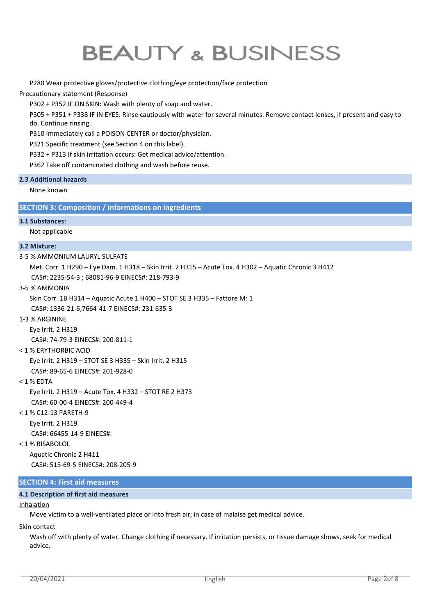# P280 Wear protective gloves/protective clothing/eye protection/face protection

# Precautionary statement (Response)

P302 + P352 IF ON SKIN: Wash with plenty of soap and water.

P305 + P351 + P338 IF IN EYES: Rinse cautiously with water for several minutes. Remove contact lenses, if present and easy to do. Continue rinsing.

P310 Immediately call a POISON CENTER or doctor/physician.

P321 Specific treatment (see Section 4 on this label).

P332 + P313 If skin irritation occurs: Get medical advice/attention.

P362 Take off contaminated clothing and wash before reuse.

# **2.3 Additional hazards**

None known

# **SECTION 3: Composition / informations on ingredients**

# **3.1 Substances:**

Not applicable

# **3.2 Mixture:**

3-5 % AMMONIUM LAURYL SULFATE

Met. Corr. 1 H290 – Eye Dam. 1 H318 – Skin Irrit. 2 H315 – Acute Tox. 4 H302 – Aquatic Chronic 3 H412 CAS#: 2235-54-3 ; 68081-96-9 EINECS#: 218-793-9

3-5 % AMMONIA

Skin Corr. 1B H314 – Aquatic Acute 1 H400 – STOT SE 3 H335 – Fattore M: 1

CAS#: 1336-21-6;7664-41-7 EINECS#: 231-635-3

# 1-3 % ARGININE

Eye Irrit. 2 H319

CAS#: 74-79-3 EINECS#: 200-811-1

# < 1 % ERYTHORBIC ACID

Eye Irrit. 2 H319 – STOT SE 3 H335 – Skin Irrit. 2 H315

CAS#: 89-65-6 EINECS#: 201-928-0

< 1 % EDTA

Eye Irrit. 2 H319 – Acute Tox. 4 H332 – STOT RE 2 H373 CAS#: 60-00-4 EINECS#: 200-449-4

# < 1 % C12-13 PARETH-9

Eye Irrit. 2 H319

CAS#: 66455-14-9 EINECS#:

# < 1 % BISABOLOL

Aquatic Chronic 2 H411 CAS#: 515-69-5 EINECS#: 208-205-9

# **SECTION 4: First aid measures**

# **4.1 Description of first aid measures**

# **Inhalation**

Move victim to a well-ventilated place or into fresh air; in case of malaise get medical advice.

# Skin contact

Wash off with plenty of water. Change clothing if necessary. If irritation persists, or tissue damage shows, seek for medical advice.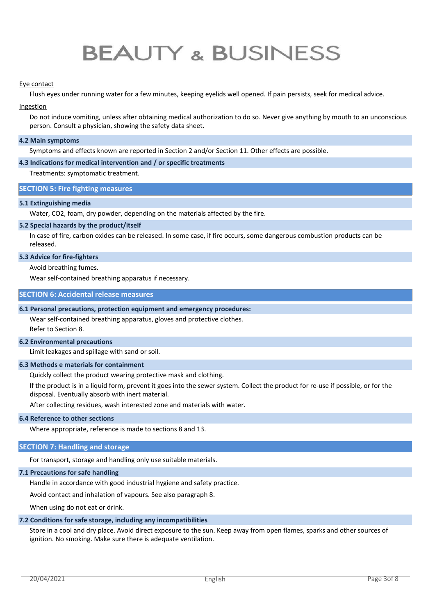#### Eye contact

Flush eyes under running water for a few minutes, keeping eyelids well opened. If pain persists, seek for medical advice.

#### Ingestion

Do not induce vomiting, unless after obtaining medical authorization to do so. Never give anything by mouth to an unconscious person. Consult a physician, showing the safety data sheet.

#### **4.2 Main symptoms**

Symptoms and effects known are reported in Section 2 and/or Section 11. Other effects are possible.

#### **4.3 Indications for medical intervention and / or specific treatments**

Treatments: symptomatic treatment.

# **SECTION 5: Fire fighting measures**

# **5.1 Extinguishing media**

Water, CO2, foam, dry powder, depending on the materials affected by the fire.

#### **5.2 Special hazards by the product/itself**

In case of fire, carbon oxides can be released. In some case, if fire occurs, some dangerous combustion products can be released.

# **5.3 Advice for fire-fighters**

Avoid breathing fumes.

Wear self-contained breathing apparatus if necessary.

#### **SECTION 6: Accidental release measures**

#### **6.1 Personal precautions, protection equipment and emergency procedures:**

Wear self-contained breathing apparatus, gloves and protective clothes. Refer to Section 8.

#### **6.2 Environmental precautions**

Limit leakages and spillage with sand or soil.

#### **6.3 Methods e materials for containment**

Quickly collect the product wearing protective mask and clothing.

If the product is in a liquid form, prevent it goes into the sewer system. Collect the product for re-use if possible, or for the disposal. Eventually absorb with inert material.

After collecting residues, wash interested zone and materials with water.

# **6.4 Reference to other sections**

Where appropriate, reference is made to sections 8 and 13.

#### **SECTION 7: Handling and storage**

For transport, storage and handling only use suitable materials.

#### **7.1 Precautions for safe handling**

Handle in accordance with good industrial hygiene and safety practice.

Avoid contact and inhalation of vapours. See also paragraph 8.

When using do not eat or drink.

#### **7.2 Conditions for safe storage, including any incompatibilities**

Store in a cool and dry place. Avoid direct exposure to the sun. Keep away from open flames, sparks and other sources of ignition. No smoking. Make sure there is adequate ventilation.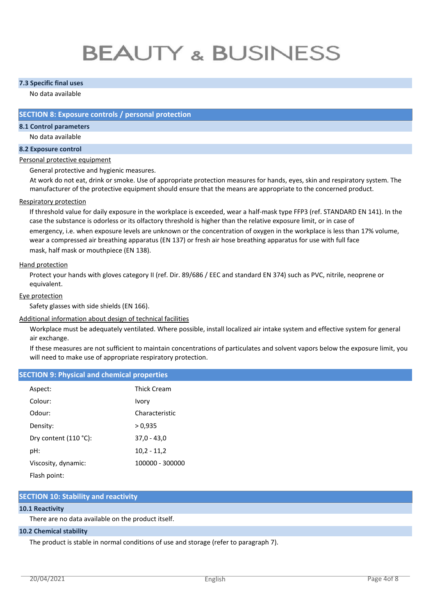# **7.3 Specific final uses**

# No data available

# **SECTION 8: Exposure controls / personal protection**

# **8.1 Control parameters**

No data available

#### **8.2 Exposure control**

#### Personal protective equipment

General protective and hygienic measures.

At work do not eat, drink or smoke. Use of appropriate protection measures for hands, eyes, skin and respiratory system. The manufacturer of the protective equipment should ensure that the means are appropriate to the concerned product.

#### Respiratory protection

If threshold value for daily exposure in the workplace is exceeded, wear a half-mask type FFP3 (ref. STANDARD EN 141). In the case the substance is odorless or its olfactory threshold is higher than the relative exposure limit, or in case of

emergency, i.e. when exposure levels are unknown or the concentration of oxygen in the workplace is less than 17% volume, wear a compressed air breathing apparatus (EN 137) or fresh air hose breathing apparatus for use with full face mask, half mask or mouthpiece (EN 138).

#### Hand protection

Protect your hands with gloves category II (ref. Dir. 89/686 / EEC and standard EN 374) such as PVC, nitrile, neoprene or equivalent.

#### Eye protection

Safety glasses with side shields (EN 166).

# Additional information about design of technical facilities

Workplace must be adequately ventilated. Where possible, install localized air intake system and effective system for general air exchange.

If these measures are not sufficient to maintain concentrations of particulates and solvent vapors below the exposure limit, you will need to make use of appropriate respiratory protection.

# **SECTION 9: Physical and chemical properties**

| Aspect:               | Thick Cream     |
|-----------------------|-----------------|
| Colour:               | Ivory           |
| Odour:                | Characteristic  |
| Density:              | > 0.935         |
| Dry content (110 °C): | $37,0 - 43,0$   |
| pH:                   | $10,2 - 11,2$   |
| Viscosity, dynamic:   | 100000 - 300000 |
| Flash point:          |                 |

# **SECTION 10: Stability and reactivity**

# **10.1 Reactivity**

There are no data available on the product itself.

#### **10.2 Chemical stability**

The product is stable in normal conditions of use and storage (refer to paragraph 7).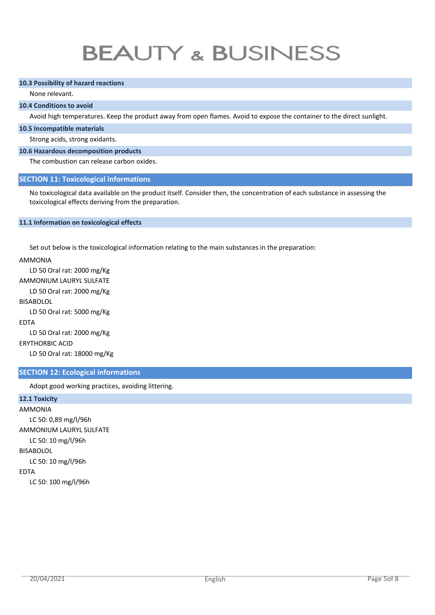#### **10.3 Possibility of hazard reactions**

# None relevant.

# **10.4 Conditions to avoid**

Avoid high temperatures. Keep the product away from open flames. Avoid to expose the container to the direct sunlight.

#### **10.5 Incompatible materials**

Strong acids, strong oxidants.

# **10.6 Hazardous decomposition products**

The combustion can release carbon oxides.

# **SECTION 11: Toxicological informations**

No toxicological data available on the product itself. Consider then, the concentration of each substance in assessing the toxicological effects deriving from the preparation.

#### **11.1 Information on toxicological effects**

Set out below is the toxicological information relating to the main substances in the preparation:

AMMONIA

LD 50 Oral rat: 2000 mg/Kg AMMONIUM LAURYL SULFATE LD 50 Oral rat: 2000 mg/Kg BISABOLOL LD 50 Oral rat: 5000 mg/Kg EDTA LD 50 Oral rat: 2000 mg/Kg ERYTHORBIC ACID

LD 50 Oral rat: 18000 mg/Kg

# **SECTION 12: Ecological informations**

Adopt good working practices, avoiding littering.

# **12.1 Toxicity**

AMMONIA LC 50: 0,89 mg/l/96h AMMONIUM LAURYL SULFATE LC 50: 10 mg/l/96h BISABOLOL LC 50: 10 mg/l/96h EDTA LC 50: 100 mg/l/96h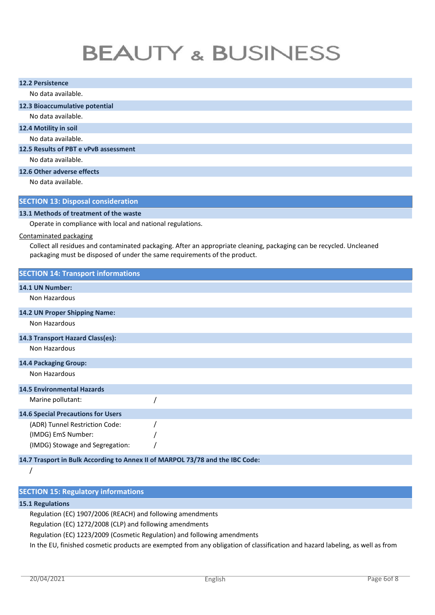| <b>12.2 Persistence</b>                                                       |                                                                                                                      |  |  |  |
|-------------------------------------------------------------------------------|----------------------------------------------------------------------------------------------------------------------|--|--|--|
| No data available.                                                            |                                                                                                                      |  |  |  |
| 12.3 Bioaccumulative potential                                                |                                                                                                                      |  |  |  |
| No data available.                                                            |                                                                                                                      |  |  |  |
| 12.4 Motility in soil                                                         |                                                                                                                      |  |  |  |
| No data available.                                                            |                                                                                                                      |  |  |  |
| 12.5 Results of PBT e vPvB assessment                                         |                                                                                                                      |  |  |  |
| No data available.                                                            |                                                                                                                      |  |  |  |
| 12.6 Other adverse effects                                                    |                                                                                                                      |  |  |  |
| No data available.                                                            |                                                                                                                      |  |  |  |
| <b>SECTION 13: Disposal consideration</b>                                     |                                                                                                                      |  |  |  |
| 13.1 Methods of treatment of the waste                                        |                                                                                                                      |  |  |  |
| Operate in compliance with local and national regulations.                    |                                                                                                                      |  |  |  |
| <b>Contaminated packaging</b>                                                 |                                                                                                                      |  |  |  |
| packaging must be disposed of under the same requirements of the product.     | Collect all residues and contaminated packaging. After an appropriate cleaning, packaging can be recycled. Uncleaned |  |  |  |
| <b>SECTION 14: Transport informations</b>                                     |                                                                                                                      |  |  |  |
| 14.1 UN Number:                                                               |                                                                                                                      |  |  |  |
| Non Hazardous                                                                 |                                                                                                                      |  |  |  |
| 14.2 UN Proper Shipping Name:                                                 |                                                                                                                      |  |  |  |
| Non Hazardous                                                                 |                                                                                                                      |  |  |  |
| 14.3 Transport Hazard Class(es):                                              |                                                                                                                      |  |  |  |
| Non Hazardous                                                                 |                                                                                                                      |  |  |  |
| 14.4 Packaging Group:                                                         |                                                                                                                      |  |  |  |
| Non Hazardous                                                                 |                                                                                                                      |  |  |  |
| <b>14.5 Environmental Hazards</b>                                             |                                                                                                                      |  |  |  |
| Marine pollutant:                                                             |                                                                                                                      |  |  |  |
| <b>14.6 Special Precautions for Users</b>                                     |                                                                                                                      |  |  |  |
| (ADR) Tunnel Restriction Code:                                                |                                                                                                                      |  |  |  |
| (IMDG) EmS Number:                                                            |                                                                                                                      |  |  |  |
| (IMDG) Stowage and Segregation:                                               |                                                                                                                      |  |  |  |
| 14.7 Trasport in Bulk According to Annex II of MARPOL 73/78 and the IBC Code: |                                                                                                                      |  |  |  |
|                                                                               |                                                                                                                      |  |  |  |

|  | <b>SECTION 15: Regulatory informations</b> |
|--|--------------------------------------------|

# **15.1 Regulations**

Regulation (EC) 1907/2006 (REACH) and following amendments

Regulation (EC) 1272/2008 (CLP) and following amendments

Regulation (EC) 1223/2009 (Cosmetic Regulation) and following amendments

In the EU, finished cosmetic products are exempted from any obligation of classification and hazard labeling, as well as from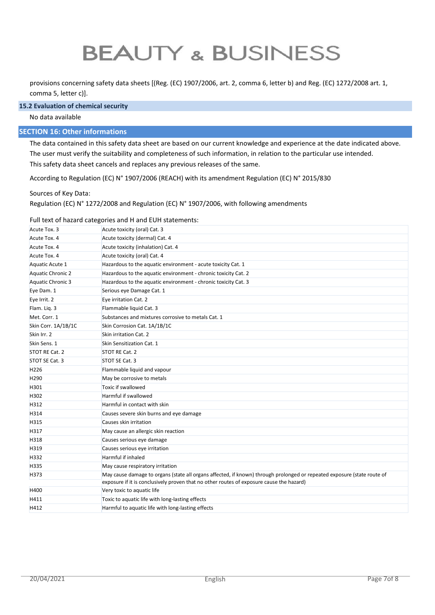provisions concerning safety data sheets [(Reg. (EC) 1907/2006, art. 2, comma 6, letter b) and Reg. (EC) 1272/2008 art. 1, comma 5, letter c)].

#### **15.2 Evaluation of chemical security**

#### No data available

# **SECTION 16: Other informations**

The data contained in this safety data sheet are based on our current knowledge and experience at the date indicated above. The user must verify the suitability and completeness of such information, in relation to the particular use intended. This safety data sheet cancels and replaces any previous releases of the same.

According to Regulation (EC) N° 1907/2006 (REACH) with its amendment Regulation (EC) N° 2015/830

Sources of Key Data:

Regulation (EC) N° 1272/2008 and Regulation (EC) N° 1907/2006, with following amendments

#### Full text of hazard categories and H and EUH statements:

| Acute Tox. 3             | Acute toxicity (oral) Cat. 3                                                                                                                                                                                        |
|--------------------------|---------------------------------------------------------------------------------------------------------------------------------------------------------------------------------------------------------------------|
| Acute Tox. 4             | Acute toxicity (dermal) Cat. 4                                                                                                                                                                                      |
| Acute Tox. 4             | Acute toxicity (inhalation) Cat. 4                                                                                                                                                                                  |
| Acute Tox. 4             | Acute toxicity (oral) Cat. 4                                                                                                                                                                                        |
| Aquatic Acute 1          | Hazardous to the aquatic environment - acute toxicity Cat. 1                                                                                                                                                        |
| <b>Aquatic Chronic 2</b> | Hazardous to the aquatic environment - chronic toxicity Cat. 2                                                                                                                                                      |
| <b>Aquatic Chronic 3</b> | Hazardous to the aquatic environment - chronic toxicity Cat. 3                                                                                                                                                      |
| Eye Dam. 1               | Serious eye Damage Cat. 1                                                                                                                                                                                           |
| Eye Irrit. 2             | Eye irritation Cat. 2                                                                                                                                                                                               |
| Flam. Liq. 3             | Flammable liquid Cat. 3                                                                                                                                                                                             |
| Met. Corr. 1             | Substances and mixtures corrosive to metals Cat. 1                                                                                                                                                                  |
| Skin Corr. 1A/1B/1C      | Skin Corrosion Cat. 1A/1B/1C                                                                                                                                                                                        |
| Skin Irr. 2              | Skin irritation Cat. 2                                                                                                                                                                                              |
| Skin Sens. 1             | Skin Sensitization Cat. 1                                                                                                                                                                                           |
| STOT RE Cat. 2           | STOT RE Cat. 2                                                                                                                                                                                                      |
| STOT SE Cat. 3           | STOT SE Cat. 3                                                                                                                                                                                                      |
| H <sub>226</sub>         | Flammable liquid and vapour                                                                                                                                                                                         |
| H290                     | May be corrosive to metals                                                                                                                                                                                          |
| H301                     | Toxic if swallowed                                                                                                                                                                                                  |
| H302                     | Harmful if swallowed                                                                                                                                                                                                |
| H312                     | Harmful in contact with skin                                                                                                                                                                                        |
| H314                     | Causes severe skin burns and eye damage                                                                                                                                                                             |
| H315                     | Causes skin irritation                                                                                                                                                                                              |
| H317                     | May cause an allergic skin reaction                                                                                                                                                                                 |
| H318                     | Causes serious eye damage                                                                                                                                                                                           |
| H319                     | Causes serious eye irritation                                                                                                                                                                                       |
| H332                     | Harmful if inhaled                                                                                                                                                                                                  |
| H335                     | May cause respiratory irritation                                                                                                                                                                                    |
| H373                     | May cause damage to organs (state all organs affected, if known) through prolonged or repeated exposure (state route of<br>exposure if it is conclusively proven that no other routes of exposure cause the hazard) |
| H400                     | Very toxic to aquatic life                                                                                                                                                                                          |
| H411                     | Toxic to aquatic life with long-lasting effects                                                                                                                                                                     |
| H412                     | Harmful to aquatic life with long-lasting effects                                                                                                                                                                   |